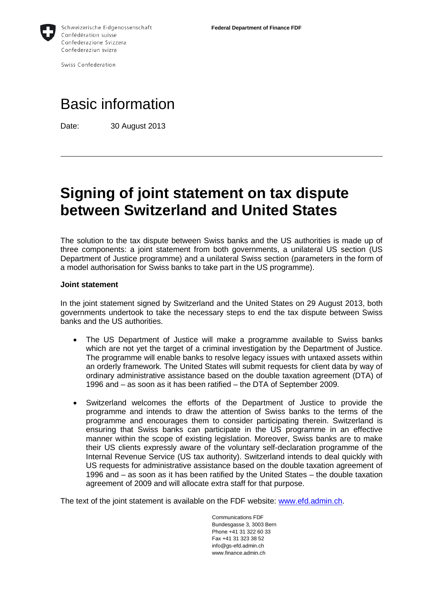

Swiss Confederation

# Basic information

Date: 30 August 2013

## **Signing of joint statement on tax dispute between Switzerland and United States**

The solution to the tax dispute between Swiss banks and the US authorities is made up of three components: a joint statement from both governments, a unilateral US section (US Department of Justice programme) and a unilateral Swiss section (parameters in the form of a model authorisation for Swiss banks to take part in the US programme).

#### **Joint statement**

In the joint statement signed by Switzerland and the United States on 29 August 2013, both governments undertook to take the necessary steps to end the tax dispute between Swiss banks and the US authorities.

- The US Department of Justice will make a programme available to Swiss banks which are not yet the target of a criminal investigation by the Department of Justice. The programme will enable banks to resolve legacy issues with untaxed assets within an orderly framework. The United States will submit requests for client data by way of ordinary administrative assistance based on the double taxation agreement (DTA) of 1996 and – as soon as it has been ratified – the DTA of September 2009.
- Switzerland welcomes the efforts of the Department of Justice to provide the programme and intends to draw the attention of Swiss banks to the terms of the programme and encourages them to consider participating therein. Switzerland is ensuring that Swiss banks can participate in the US programme in an effective manner within the scope of existing legislation. Moreover, Swiss banks are to make their US clients expressly aware of the voluntary self-declaration programme of the Internal Revenue Service (US tax authority). Switzerland intends to deal quickly with US requests for administrative assistance based on the double taxation agreement of 1996 and – as soon as it has been ratified by the United States – the double taxation agreement of 2009 and will allocate extra staff for that purpose.

The text of the joint statement is available on the FDF website: [www.efd.admin.ch.](http://www.efd.admin.ch/)

Communications FDF Bundesgasse 3, 3003 Bern Phone +41 31 322 60 33 Fax +41 31 323 38 52 info@gs-efd.admin.ch www.finance.admin.ch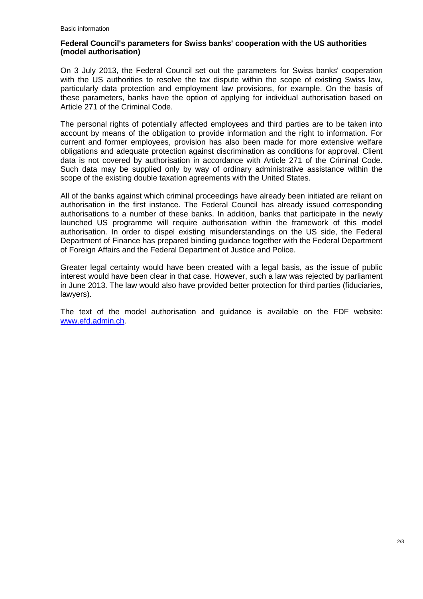### **Federal Council's parameters for Swiss banks' cooperation with the US authorities (model authorisation)**

On 3 July 2013, the Federal Council set out the parameters for Swiss banks' cooperation with the US authorities to resolve the tax dispute within the scope of existing Swiss law, particularly data protection and employment law provisions, for example. On the basis of these parameters, banks have the option of applying for individual authorisation based on Article 271 of the Criminal Code.

The personal rights of potentially affected employees and third parties are to be taken into account by means of the obligation to provide information and the right to information. For current and former employees, provision has also been made for more extensive welfare obligations and adequate protection against discrimination as conditions for approval. Client data is not covered by authorisation in accordance with Article 271 of the Criminal Code. Such data may be supplied only by way of ordinary administrative assistance within the scope of the existing double taxation agreements with the United States.

All of the banks against which criminal proceedings have already been initiated are reliant on authorisation in the first instance. The Federal Council has already issued corresponding authorisations to a number of these banks. In addition, banks that participate in the newly launched US programme will require authorisation within the framework of this model authorisation. In order to dispel existing misunderstandings on the US side, the Federal Department of Finance has prepared binding guidance together with the Federal Department of Foreign Affairs and the Federal Department of Justice and Police.

Greater legal certainty would have been created with a legal basis, as the issue of public interest would have been clear in that case. However, such a law was rejected by parliament in June 2013. The law would also have provided better protection for third parties (fiduciaries, lawyers).

The text of the model authorisation and guidance is available on the FDF website: [www.efd.admin.ch.](http://www.efd.admin.ch/)